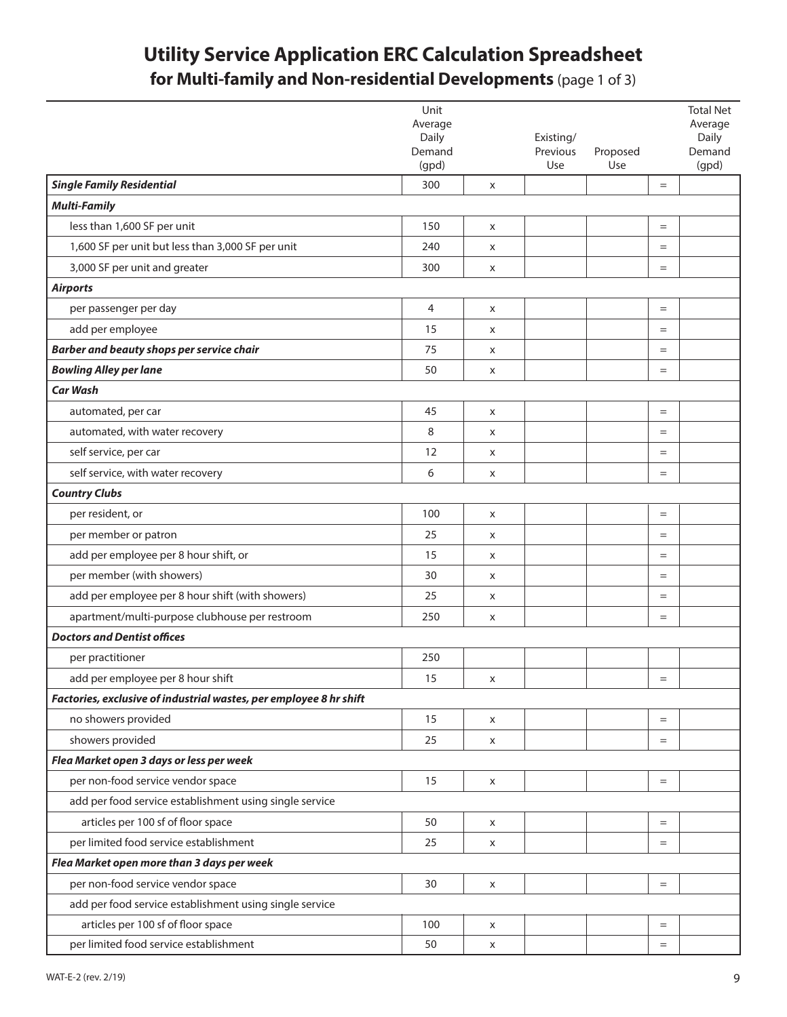## **Utility Service Application ERC Calculation Spreadsheet for Multi-family and Non-residential Developments** (page 1 of 3)

|                                                                    | Unit             |   |           |          |           | <b>Total Net</b> |
|--------------------------------------------------------------------|------------------|---|-----------|----------|-----------|------------------|
|                                                                    | Average<br>Daily |   | Existing/ |          |           | Average<br>Daily |
|                                                                    | Demand           |   | Previous  | Proposed |           | Demand           |
|                                                                    | (gpd)            |   | Use       | Use      |           | (gpd)            |
| <b>Single Family Residential</b>                                   | 300              | X |           |          | $=$       |                  |
| <b>Multi-Family</b>                                                |                  |   |           |          |           |                  |
| less than 1,600 SF per unit                                        | 150              | X |           |          | $=$       |                  |
| 1,600 SF per unit but less than 3,000 SF per unit                  | 240              | X |           |          | $=$       |                  |
| 3,000 SF per unit and greater                                      | 300              | X |           |          | $=$       |                  |
| <b>Airports</b>                                                    |                  |   |           |          |           |                  |
| per passenger per day                                              | $\overline{4}$   | X |           |          | $=$       |                  |
| add per employee                                                   | 15               | X |           |          | $=$       |                  |
| Barber and beauty shops per service chair                          | 75               | X |           |          | $=$       |                  |
| <b>Bowling Alley per lane</b>                                      | 50               | X |           |          | $=$       |                  |
| <b>Car Wash</b>                                                    |                  |   |           |          |           |                  |
| automated, per car                                                 | 45               | X |           |          | $=$       |                  |
| automated, with water recovery                                     | 8                | X |           |          | $=$       |                  |
| self service, per car                                              | 12               | X |           |          | $=$       |                  |
| self service, with water recovery                                  | 6                | X |           |          | $=$       |                  |
| <b>Country Clubs</b>                                               |                  |   |           |          |           |                  |
| per resident, or                                                   | 100              | X |           |          | $=$       |                  |
| per member or patron                                               | 25               | X |           |          | $=$       |                  |
| add per employee per 8 hour shift, or                              | 15               | X |           |          | $=$       |                  |
| per member (with showers)                                          | 30               | X |           |          | $=$       |                  |
| add per employee per 8 hour shift (with showers)                   | 25               | X |           |          | $=$       |                  |
| apartment/multi-purpose clubhouse per restroom                     | 250              | X |           |          | $=$       |                  |
| <b>Doctors and Dentist offices</b>                                 |                  |   |           |          |           |                  |
| per practitioner                                                   | 250              |   |           |          |           |                  |
| add per employee per 8 hour shift                                  | 15               | x |           |          | $=$       |                  |
| Factories, exclusive of industrial wastes, per employee 8 hr shift |                  |   |           |          |           |                  |
| no showers provided                                                | 15               | X |           |          | $\quad =$ |                  |
| showers provided                                                   | 25               | X |           |          | $=$       |                  |
| Flea Market open 3 days or less per week                           |                  |   |           |          |           |                  |
| per non-food service vendor space                                  | 15               | X |           |          | $=$       |                  |
| add per food service establishment using single service            |                  |   |           |          |           |                  |
| articles per 100 sf of floor space                                 | 50               | X |           |          | $\quad =$ |                  |
| per limited food service establishment                             | 25               | X |           |          | $=$       |                  |
| Flea Market open more than 3 days per week                         |                  |   |           |          |           |                  |
| per non-food service vendor space                                  | 30               | X |           |          | $\quad =$ |                  |
| add per food service establishment using single service            |                  |   |           |          |           |                  |
| articles per 100 sf of floor space                                 | 100              | X |           |          | $=$       |                  |
| per limited food service establishment                             | 50               | X |           |          | $=$       |                  |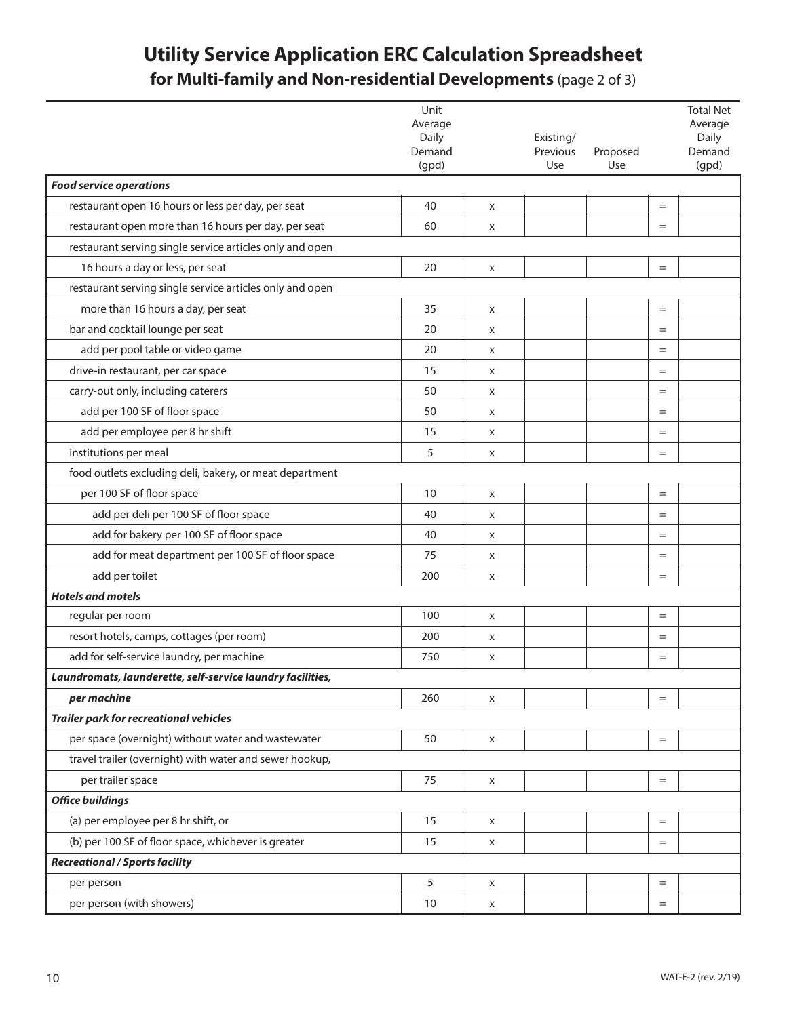## **Utility Service Application ERC Calculation Spreadsheet for Multi-family and Non-residential Developments** (page 2 of 3)

|                                                            | Unit<br>Average |   |           |          |     | <b>Total Net</b><br>Average |
|------------------------------------------------------------|-----------------|---|-----------|----------|-----|-----------------------------|
|                                                            | Daily           |   | Existing/ |          |     | Daily                       |
|                                                            | Demand          |   | Previous  | Proposed |     | Demand                      |
|                                                            | (gpd)           |   | Use       | Use      |     | (gpd)                       |
| <b>Food service operations</b>                             |                 |   |           |          |     |                             |
| restaurant open 16 hours or less per day, per seat         | 40              | X |           |          | $=$ |                             |
| restaurant open more than 16 hours per day, per seat       | 60              | X |           |          | $=$ |                             |
| restaurant serving single service articles only and open   |                 |   |           |          |     |                             |
| 16 hours a day or less, per seat                           | 20              | X |           |          | $=$ |                             |
| restaurant serving single service articles only and open   |                 |   |           |          |     |                             |
| more than 16 hours a day, per seat                         | 35              | X |           |          | $=$ |                             |
| bar and cocktail lounge per seat                           | 20              | X |           |          | $=$ |                             |
| add per pool table or video game                           | 20              | X |           |          | $=$ |                             |
| drive-in restaurant, per car space                         | 15              | X |           |          | $=$ |                             |
| carry-out only, including caterers                         | 50              | X |           |          | $=$ |                             |
| add per 100 SF of floor space                              | 50              | X |           |          | $=$ |                             |
| add per employee per 8 hr shift                            | 15              | X |           |          | $=$ |                             |
| institutions per meal                                      | 5               | X |           |          | $=$ |                             |
| food outlets excluding deli, bakery, or meat department    |                 |   |           |          |     |                             |
| per 100 SF of floor space                                  | 10              | X |           |          | $=$ |                             |
| add per deli per 100 SF of floor space                     | 40              | X |           |          | $=$ |                             |
| add for bakery per 100 SF of floor space                   | 40              | X |           |          | $=$ |                             |
| add for meat department per 100 SF of floor space          | 75              | X |           |          | $=$ |                             |
| add per toilet                                             | 200             | X |           |          | $=$ |                             |
| <b>Hotels and motels</b>                                   |                 |   |           |          |     |                             |
| regular per room                                           | 100             | X |           |          | $=$ |                             |
| resort hotels, camps, cottages (per room)                  | 200             | X |           |          | $=$ |                             |
| add for self-service laundry, per machine                  | 750             | X |           |          | $=$ |                             |
| Laundromats, launderette, self-service laundry facilities, |                 |   |           |          |     |                             |
| per machine                                                | 260             | X |           |          | $=$ |                             |
| <b>Trailer park for recreational vehicles</b>              |                 |   |           |          |     |                             |
| per space (overnight) without water and wastewater         | 50              | X |           |          | $=$ |                             |
| travel trailer (overnight) with water and sewer hookup,    |                 |   |           |          |     |                             |
| per trailer space                                          | 75              | X |           |          | $=$ |                             |
| <b>Office buildings</b>                                    |                 |   |           |          |     |                             |
| (a) per employee per 8 hr shift, or                        | 15              | X |           |          | $=$ |                             |
| (b) per 100 SF of floor space, whichever is greater        | 15              | X |           |          | $=$ |                             |
| <b>Recreational / Sports facility</b>                      |                 |   |           |          |     |                             |
| per person                                                 | 5               | X |           |          | $=$ |                             |
| per person (with showers)                                  | 10              | X |           |          | $=$ |                             |
|                                                            |                 |   |           |          |     |                             |